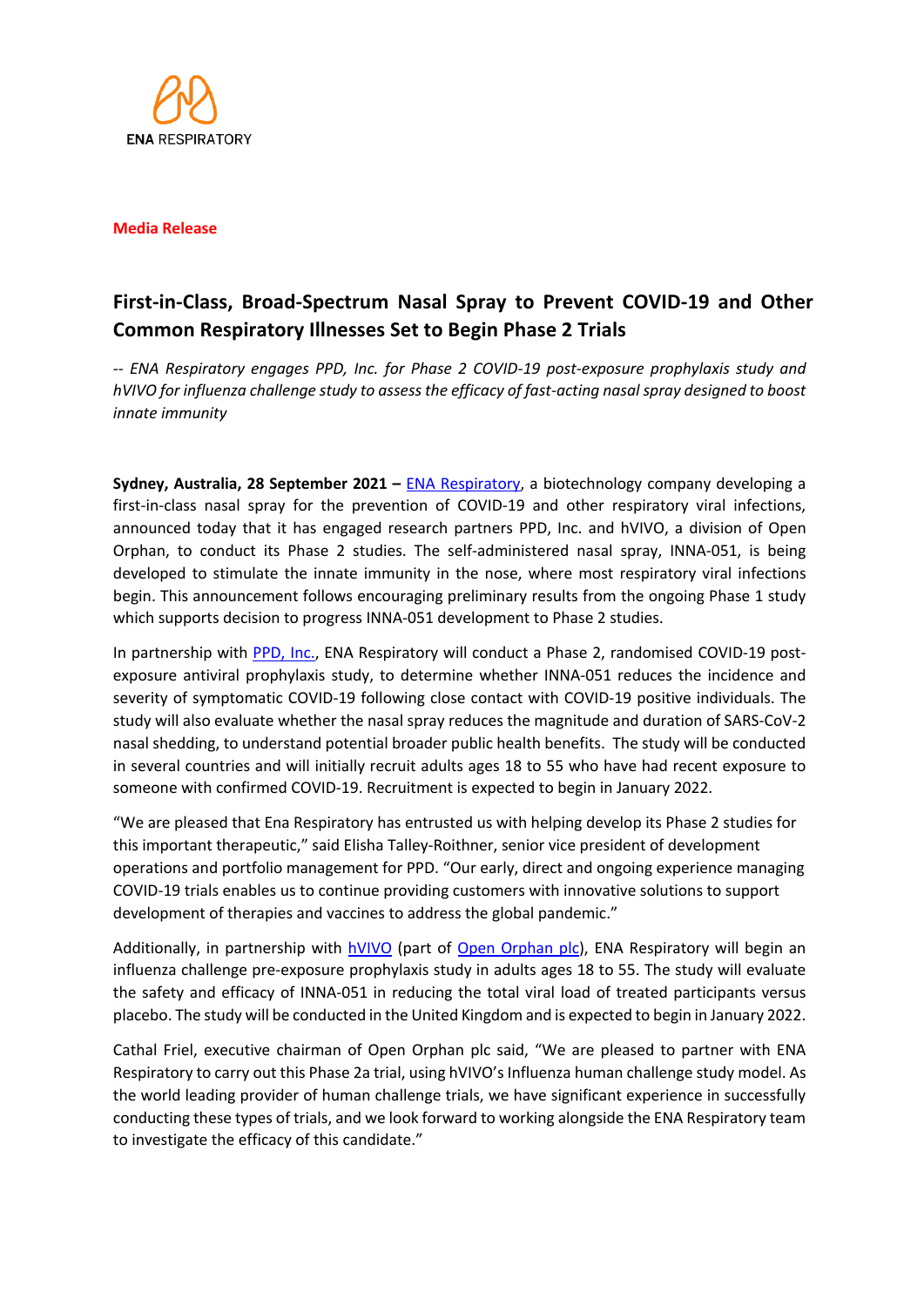

## **Media Release**

# **First-in-Class, Broad-Spectrum Nasal Spray to Prevent COVID-19 and Other Common Respiratory Illnesses Set to Begin Phase 2 Trials**

*-- ENA Respiratory engages PPD, Inc. for Phase 2 COVID-19 post-exposure prophylaxis study and hVIVO for influenza challenge study to assess the efficacy of fast-acting nasal spray designed to boost innate immunity* 

**Sydney, Australia, 28 September 2021 –** [ENA Respiratory,](https://enarespiratory.com/) a biotechnology company developing a first-in-class nasal spray for the prevention of COVID-19 and other respiratory viral infections, announced today that it has engaged research partners PPD, Inc. and hVIVO, a division of Open Orphan, to conduct its Phase 2 studies. The self-administered nasal spray, INNA-051, is being developed to stimulate the innate immunity in the nose, where most respiratory viral infections begin. This announcement follows encouraging preliminary results from the ongoing Phase 1 study which supports decision to progress INNA-051 development to Phase 2 studies.

In partnership with [PPD, Inc](https://www.ppd.com/)., ENA Respiratory will conduct a Phase 2, randomised COVID-19 postexposure antiviral prophylaxis study, to determine whether INNA-051 reduces the incidence and severity of symptomatic COVID-19 following close contact with COVID-19 positive individuals. The study will also evaluate whether the nasal spray reduces the magnitude and duration of SARS-CoV-2 nasal shedding, to understand potential broader public health benefits. The study will be conducted in several countries and will initially recruit adults ages 18 to 55 who have had recent exposure to someone with confirmed COVID-19. Recruitment is expected to begin in January 2022.

"We are pleased that Ena Respiratory has entrusted us with helping develop its Phase 2 studies for this important therapeutic," said Elisha Talley-Roithner, senior vice president of development operations and portfolio management for PPD. "Our early, direct and ongoing experience managing COVID-19 trials enables us to continue providing customers with innovative solutions to support development of therapies and vaccines to address the global pandemic."

Additionally, in partnership with [hVIVO](https://hvivo.com/) (part of [Open Orphan plc\),](http://www.openorphan.com/) ENA Respiratory will begin an influenza challenge pre-exposure prophylaxis study in adults ages 18 to 55. The study will evaluate the safety and efficacy of INNA-051 in reducing the total viral load of treated participants versus placebo. The study will be conducted in the United Kingdom and is expected to begin in January 2022.

Cathal Friel, executive chairman of Open Orphan plc said, "We are pleased to partner with ENA Respiratory to carry out this Phase 2a trial, using hVIVO's Influenza human challenge study model. As the world leading provider of human challenge trials, we have significant experience in successfully conducting these types of trials, and we look forward to working alongside the ENA Respiratory team to investigate the efficacy of this candidate."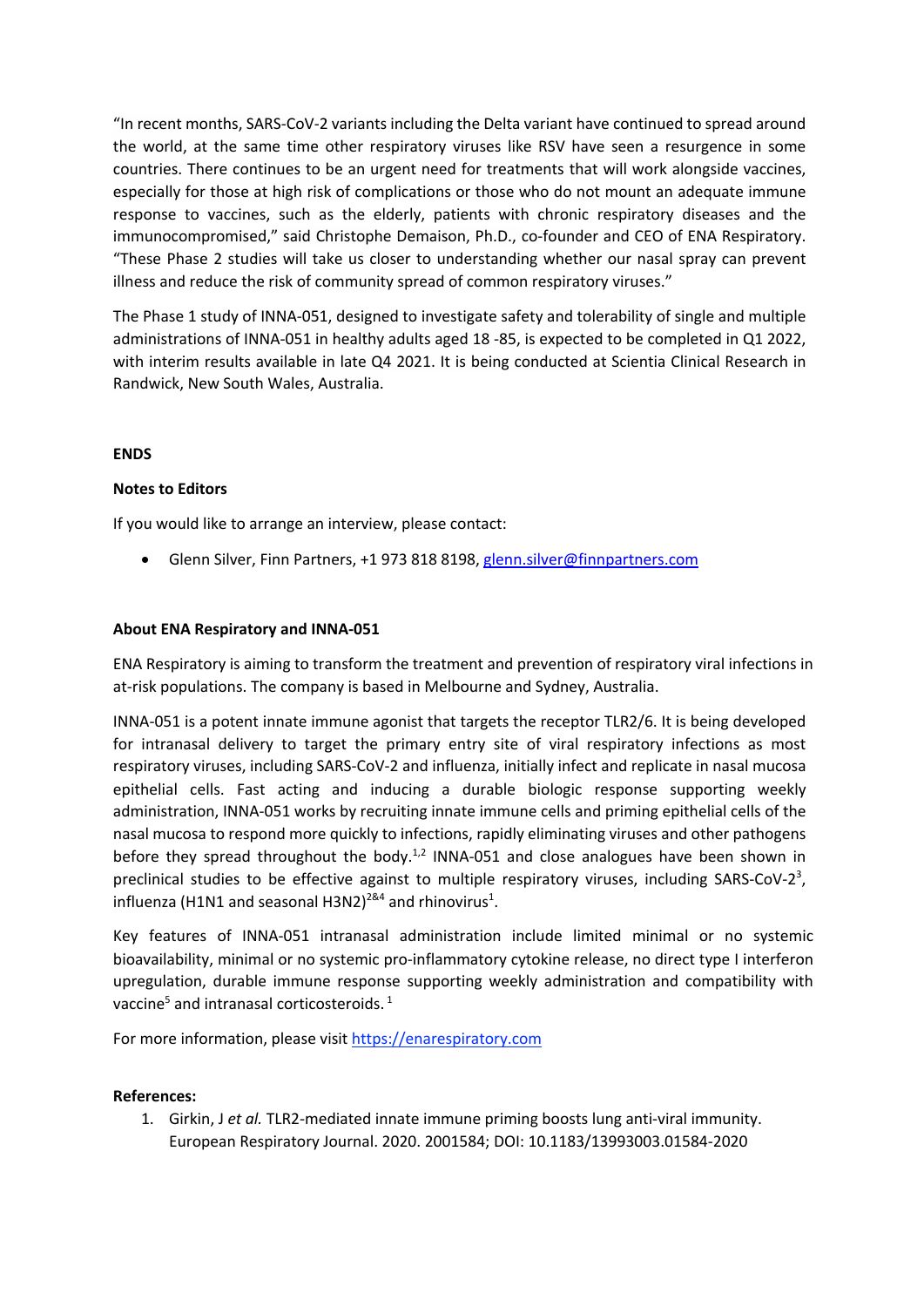"In recent months, SARS-CoV-2 variants including the Delta variant have continued to spread around the world, at the same time other respiratory viruses like RSV have seen a resurgence in some countries. There continues to be an urgent need for treatments that will work alongside vaccines, especially for those at high risk of complications or those who do not mount an adequate immune response to vaccines, such as the elderly, patients with chronic respiratory diseases and the immunocompromised," said Christophe Demaison, Ph.D., co-founder and CEO of ENA Respiratory. "These Phase 2 studies will take us closer to understanding whether our nasal spray can prevent illness and reduce the risk of community spread of common respiratory viruses."

The Phase 1 study of INNA-051, designed to investigate safety and tolerability of single and multiple administrations of INNA-051 in healthy adults aged 18 -85, is expected to be completed in Q1 2022, with interim results available in late Q4 2021. It is being conducted at Scientia Clinical Research in Randwick, New South Wales, Australia.

## **ENDS**

## **Notes to Editors**

If you would like to arrange an interview, please contact:

• Glenn Silver, Finn Partners, +1 973 818 8198, glenn.silver@finnpartners.com

#### **About ENA Respiratory and INNA-051**

ENA Respiratory is aiming to transform the treatment and prevention of respiratory viral infections in at-risk populations. The company is based in Melbourne and Sydney, Australia.

INNA-051 is a potent innate immune agonist that targets the receptor TLR2/6. It is being developed for intranasal delivery to target the primary entry site of viral respiratory infections as most respiratory viruses, including SARS-CoV-2 and influenza, initially infect and replicate in nasal mucosa epithelial cells. Fast acting and inducing a durable biologic response supporting weekly administration, INNA-051 works by recruiting innate immune cells and priming epithelial cells of the nasal mucosa to respond more quickly to infections, rapidly eliminating viruses and other pathogens before they spread throughout the body.<sup>1,2</sup> INNA-051 and close analogues have been shown in preclinical studies to be effective against to multiple respiratory viruses, including SARS-CoV-2<sup>3</sup>, influenza (H1N1 and seasonal H3N2)<sup>2&4</sup> and rhinovirus<sup>1</sup>.

Key features of INNA-051 intranasal administration include limited minimal or no systemic bioavailability, minimal or no systemic pro-inflammatory cytokine release, no direct type I interferon upregulation, durable immune response supporting weekly administration and compatibility with vaccine<sup>5</sup> and intranasal corticosteroids.<sup>1</sup>

For more information, please visit https://enarespiratory.com

#### **References:**

1. Girkin, J *et al.* TLR2-mediated innate immune priming boosts lung anti-viral immunity. European Respiratory Journal. 2020. 2001584; DOI: 10.1183/13993003.01584-2020